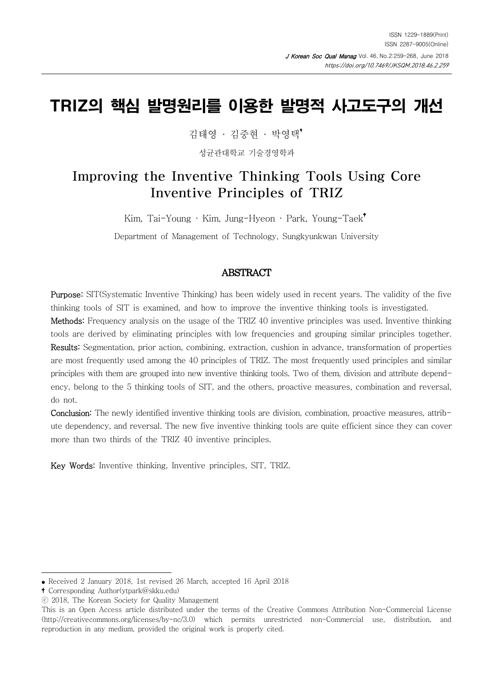# TRIZ의 핵심 발명원리를 이용한 발명적 사고도구의 개선

김태영 · 김중현 · 박영택

성균관대학교 기술경영학과

# Improving the Inventive Thinking Tools Using Core Inventive Principles of TRIZ

Kim, Tai-Young · Kim, Jung-Hyeon · Park, Young-Taek

Department of Management of Technology, Sungkyunkwan University

#### ABSTRACT

Purpose: SIT(Systematic Inventive Thinking) has been widely used in recent years. The validity of the five thinking tools of SIT is examined, and how to improve the inventive thinking tools is investigated.

Methods: Frequency analysis on the usage of the TRIZ 40 inventive principles was used. Inventive thinking tools are derived by eliminating principles with low frequencies and grouping similar principles together. Results: Segmentation, prior action, combining, extraction, cushion in advance, transformation of properties are most frequently used among the 40 principles of TRIZ. The most frequently used principles and similar principles with them are grouped into new inventive thinking tools. Two of them, division and attribute dependency, belong to the 5 thinking tools of SIT, and the others, proactive measures, combination and reversal, do not.

Conclusion: The newly identified inventive thinking tools are division, combination, proactive measures, attribute dependency, and reversal. The new five inventive thinking tools are quite efficient since they can cover more than two thirds of the TRIZ 40 inventive principles.

Key Words: Inventive thinking, Inventive principles, SIT, TRIZ.

Corresponding Author(ytpark@skku.edu)

<sup>●</sup> Received 2 January 2018, 1st revised 26 March, accepted 16 April 2018

<sup>ⓒ 2018,</sup> The Korean Society for Quality Management

This is an Open Access article distributed under the terms of the Creative Commons Attribution Non-Commercial License (http://creativecommons.org/licenses/by-nc/3.0) which permits unrestricted non-Commercial use, distribution, and reproduction in any medium, provided the original work is properly cited.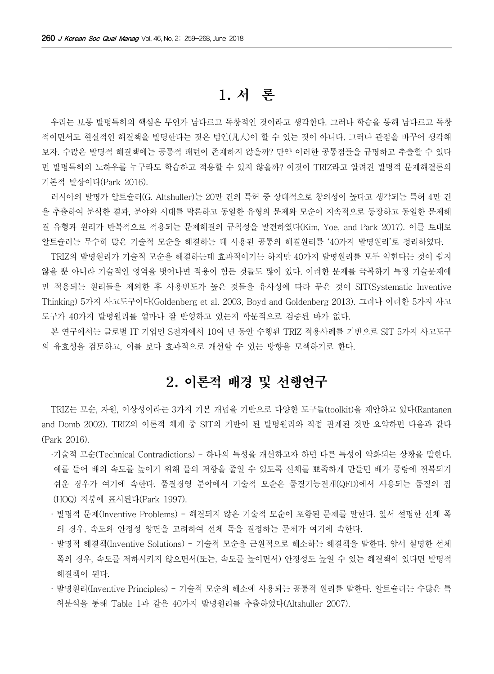# 1. 서 론

우리는 보통 발명특허의 핵심은 무언가 남다르고 독창적인 것이라고 생각한다. 그러나 학습을 통해 남다르고 독창 적이면서도 현실적인 해결책을 발명한다는 것은 범인(凡人)이 할 수 있는 것이 아니다. 그러나 관점을 바꾸어 생각해 보자. 수많은 발명적 해결책에는 공통적 패턴이 존재하지 않을까? 만약 이러한 공통점들을 규명하고 추출할 수 있다 면 발명특허의 노하우를 누구라도 학습하고 적용할 수 있지 않을까? 이것이 TRIZ라고 알려진 발명적 문제해결론의 기본적 발상이다(Park 2016).

러시아의 발명가 알트슐러(G. Altshuller)는 20만 건의 특허 중 상대적으로 창의성이 높다고 생각되는 특허 4만 건 을 추출하여 분석한 결과, 분야와 시대를 막론하고 동일한 유형의 문제와 모순이 지속적으로 등장하고 동일한 문제해 결 유형과 원리가 반복적으로 적용되는 문제해결의 규칙성을 발견하였다(Kim, Yoe, and Park 2017). 이를 토대로 알트슐러는 무수히 많은 기술적 모순을 해결하는 데 사용된 공통의 해결원리를 '40가지 발명원리'로 정리하였다.

TRIZ의 발명원리가 기술적 모순을 해결하는데 효과적이기는 하지만 40가지 발명원리를 모두 익힌다는 것이 쉽지 않을 뿐 아니라 기술적인 영역을 벗어나면 적용이 힘든 것들도 많이 있다. 이러한 문제를 극복하기 특정 기술문제에 만 적용되는 원리들을 제외한 후 사용빈도가 높은 것들을 유사성에 따라 묶은 것이 SIT(Systematic Inventive Thinking) 5가지 사고도구이다(Goldenberg et al. 2003, Boyd and Goldenberg 2013). 그러나 이러한 5가지 사고 도구가 40가지 발명원리를 얼마나 잘 반영하고 있는지 학문적으로 검증된 바가 없다.

본 연구에서는 글로벌 IT 기업인 S전자에서 10여 년 동안 수행된 TRIZ 적용사례를 기반으로 SIT 5가지 사고도구 의 유효성을 검토하고, 이를 보다 효과적으로 개선할 수 있는 방향을 모색하기로 한다.

### 2. 이론적 배경 및 선행연구

TRIZ는 모순, 자원, 이상성이라는 3가지 기본 개념을 기반으로 다양한 도구들(toolkit)을 제안하고 있다(Rantanen and Domb 2002). TRIZ의 이론적 체계 중 SIT의 기반이 된 발명원리와 직접 관계된 것만 요약하면 다음과 같다 (Park 2016).

·기술적 모순(Technical Contradictions) - 하나의 특성을 개선하고자 하면 다른 특성이 악화되는 상황을 말한다. 예를 들어 배의 속도를 높이기 위해 물의 저항을 줄일 수 있도록 선체를 뾰족하게 만들면 배가 풍랑에 전복되기 쉬운 경우가 여기에 속한다. 품질경영 분야에서 기술적 모순은 품질기능전개(QFD)에서 사용되는 품질의 집 (HOQ) 지붕에 표시된다(Park 1997).

- · 발명적 문제(Inventive Problems) 해결되지 않은 기술적 모순이 포함된 문제를 말한다. 앞서 설명한 선체 폭 의 경우, 속도와 안정성 양면을 고려하여 선체 폭을 결정하는 문제가 여기에 속한다.
- · 발명적 해결책(Inventive Solutions) 기술적 모순을 근원적으로 해소하는 해결책을 말한다. 앞서 설명한 선체 폭의 경우, 속도를 저하시키지 않으면서(또는, 속도를 높이면서) 안정성도 높일 수 있는 해결책이 있다면 발명적 해결책이 된다.
- · 발명원리(Inventive Principles) 기술적 모순의 해소에 사용되는 공통적 원리를 말한다. 알트슐러는 수많은 특 허분석을 통해 Table 1과 같은 40가지 발명원리를 추출하였다(Altshuller 2007).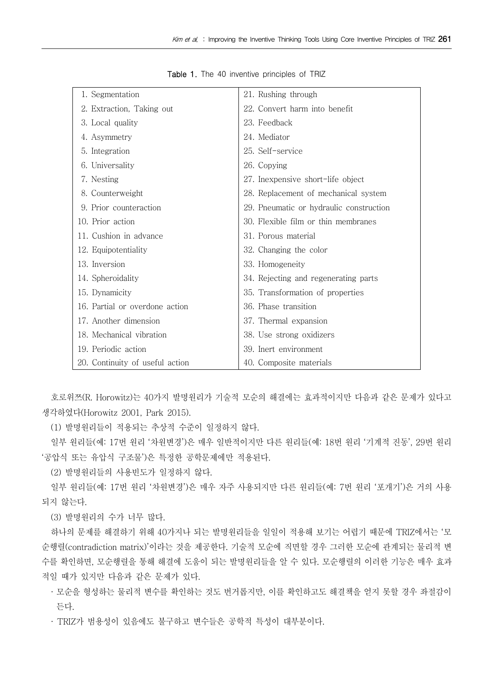| 1. Segmentation                 | 21. Rushing through                     |
|---------------------------------|-----------------------------------------|
| 2. Extraction, Taking out       | 22. Convert harm into benefit           |
| 3. Local quality                | 23. Feedback                            |
| 4. Asymmetry                    | 24. Mediator                            |
| 5. Integration                  | 25. Self-service                        |
| 6. Universality                 | 26. Copying                             |
| 7. Nesting                      | 27. Inexpensive short-life object       |
| 8. Counterweight                | 28. Replacement of mechanical system    |
| 9. Prior counteraction          | 29. Pneumatic or hydraulic construction |
| 10. Prior action                | 30. Flexible film or thin membranes     |
| 11. Cushion in advance          | 31. Porous material                     |
| 12. Equipotentiality            | 32. Changing the color                  |
| 13. Inversion                   | 33. Homogeneity                         |
| 14. Spheroidality               | 34. Rejecting and regenerating parts    |
| 15. Dynamicity                  | 35. Transformation of properties        |
| 16. Partial or overdone action  | 36. Phase transition                    |
| 17. Another dimension           | 37. Thermal expansion                   |
| 18. Mechanical vibration        | 38. Use strong oxidizers                |
| 19. Periodic action             | 39. Inert environment                   |
| 20. Continuity of useful action | 40. Composite materials                 |

Table 1. The 40 inventive principles of TRIZ

호로위쯔(R. Horowitz)는 40가지 발명원리가 기술적 모순의 해결에는 효과적이지만 다음과 같은 문제가 있다고 생각하였다(Horowitz 2001, Park 2015).

(1) 발명원리들이 적용되는 추상적 수준이 일정하지 않다.

일부 원리들(예: 17번 원리 '차원변경')은 매우 일반적이지만 다른 원리들(예: 18번 원리 '기계적 진동', 29번 원리 '공압식 또는 유압식 구조물')은 특정한 공학문제에만 적용된다.

(2) 발명원리들의 사용빈도가 일정하지 않다.

일부 원리들(예: 17번 원리 '차원변경')은 매우 자주 사용되지만 다른 원리들(예: 7번 원리 '포개기')은 거의 사용 되지 않는다.

(3) 발명원리의 수가 너무 많다.

하나의 문제를 해결하기 위해 40가지나 되는 발명원리들을 일일이 적용해 보기는 어렵기 때문에 TRIZ에서는 '모 순행렬(contradiction matrix)'이라는 것을 제공한다. 기술적 모순에 직면할 경우 그러한 모순에 관계되는 물리적 변 수를 확인하면, 모순행렬을 통해 해결에 도움이 되는 발명원리들을 알 수 있다. 모순행렬의 이러한 기능은 매우 효과 적일 때가 있지만 다음과 같은 문제가 있다.

· 모순을 형성하는 물리적 변수를 확인하는 것도 번거롭지만, 이를 확인하고도 해결책을 얻지 못할 경우 좌절감이 든다.

· TRIZ가 범용성이 있음에도 불구하고 변수들은 공학적 특성이 대부분이다.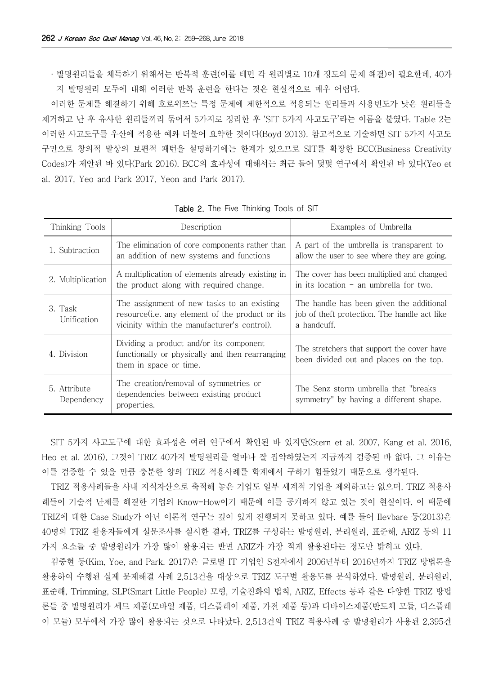· 발명원리들을 체득하기 위해서는 반복적 훈련(이를 테면 각 원리별로 10개 정도의 문제 해결)이 필요한데, 40가 지 발명원리 모두에 대해 이러한 반복 훈련을 한다는 것은 현실적으로 매우 어렵다.

이러한 문제를 해결하기 위해 호로위쯔는 특정 문제에 제한적으로 적용되는 원리들과 사용빈도가 낮은 원리들을 제거하고 난 후 유사한 원리들끼리 묶어서 5가지로 정리한 후 'SIT 5가지 사고도구'라는 이름을 붙였다. Table 2는 이러한 사고도구를 우산에 적용한 예와 더불어 요약한 것이다(Boyd 2013). 참고적으로 기술하면 SIT 5가지 사고도 구만으로 창의적 발상의 보편적 패턴을 설명하기에는 한계가 있으므로 SIT를 확장한 BCC(Business Creativity Codes)가 제안된 바 있다(Park 2016). BCC의 효과성에 대해서는 최근 들어 몇몇 연구에서 확인된 바 있다(Yeo et al. 2017, Yeo and Park 2017, Yeon and Park 2017).

| Thinking Tools             | Description                                                                                                                                           | Examples of Umbrella                                                                                    |  |
|----------------------------|-------------------------------------------------------------------------------------------------------------------------------------------------------|---------------------------------------------------------------------------------------------------------|--|
| 1. Subtraction             | The elimination of core components rather than<br>an addition of new systems and functions                                                            | A part of the umbrella is transparent to<br>allow the user to see where they are going.                 |  |
| 2. Multiplication          | A multiplication of elements already existing in<br>the product along with required change.                                                           | The cover has been multiplied and changed<br>in its location $-$ an umbrella for two.                   |  |
| 3. Task<br>Unification     | The assignment of new tasks to an existing<br>resource( <i>i.e.</i> any element of the product or its<br>vicinity within the manufacturer's control). | The handle has been given the additional<br>job of theft protection. The handle act like<br>a handcuff. |  |
| 4. Division                | Dividing a product and/or its component<br>functionally or physically and then rearranging<br>them in space or time.                                  | The stretchers that support the cover have<br>been divided out and places on the top.                   |  |
| 5. Attribute<br>Dependency | The creation/removal of symmetries or<br>dependencies between existing product<br>properties.                                                         | The Senz storm umbrella that "breaks"<br>symmetry" by having a different shape.                         |  |

Table 2. The Five Thinking Tools of SIT

SIT 5가지 사고도구에 대한 효과성은 여러 연구에서 확인된 바 있지만(Stern et al. 2007, Kang et al. 2016, Heo et al. 2016), 그것이 TRIZ 40가지 발명원리를 얼마나 잘 집약하였는지 지금까지 검증된 바 없다. 그 이유는 이를 검증할 수 있을 만큼 충분한 양의 TRIZ 적용사례를 학계에서 구하기 힘들었기 때문으로 생각된다.

TRIZ 적용사례들을 사내 지식자산으로 축적해 놓은 기업도 일부 세계적 기업을 제외하고는 없으며, TRIZ 적용사 례들이 기술적 난제를 해결한 기업의 Know-How이기 때문에 이를 공개하지 않고 있는 것이 현실이다. 이 때문에 TRIZ에 대한 Case Study가 아닌 이론적 연구는 깊이 있게 진행되지 못하고 있다. 예를 들어 Ilevbare 등(2013)은 40명의 TRIZ 활용자들에게 설문조사를 실시한 결과, TRIZ를 구성하는 발명원리, 분리원리, 표준해, ARIZ 등의 11 가지 요소들 중 발명원리가 가장 많이 활용되는 반면 ARIZ가 가장 적게 활용된다는 정도만 밝히고 있다.

김중현 등(Kim, Yoe, and Park. 2017)은 글로벌 IT 기업인 S전자에서 2006년부터 2016년까지 TRIZ 방법론을 활용하여 수행된 실제 문제해결 사례 2,513건을 대상으로 TRIZ 도구별 활용도를 분석하였다. 발명원리, 분리원리, 표준해, Trimming, SLP(Smart Little People) 모형, 기술진화의 법칙, ARIZ, Effects 등과 같은 다양한 TRIZ 방법 론들 중 발명원리가 세트 제품(모바일 제품, 디스플레이 제품, 가전 제품 등)과 디바이스제품(반도체 모듈, 디스플레 이 모듈) 모두에서 가장 많이 활용되는 것으로 나타났다. 2,513건의 TRIZ 적용사례 중 발명원리가 사용된 2,395건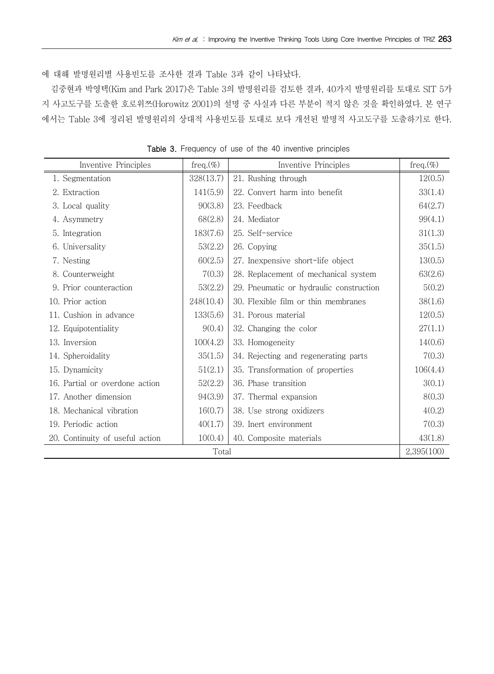에 대해 발명원리별 사용빈도를 조사한 결과 Table 3과 같이 나타났다.

김중현과 박영택(Kim and Park 2017)은 Table 3의 발명원리를 검토한 결과, 40가지 발명원리를 토대로 SIT 5가 지 사고도구를 도출한 호로위쯔(Horowitz 2001)의 설명 중 사실과 다른 부분이 적지 않은 것을 확인하였다. 본 연구 에서는 Table 3에 정리된 발명원리의 상대적 사용빈도를 토대로 보다 개선된 발명적 사고도구를 도출하기로 한다.

| Inventive Principles            | freq. $(\%)$ | Inventive Principles                    | freq. $(\%)$ |
|---------------------------------|--------------|-----------------------------------------|--------------|
| 1. Segmentation                 | 328(13.7)    | 21. Rushing through                     | 12(0.5)      |
| 2. Extraction                   | 141(5.9)     | 22. Convert harm into benefit           | 33(1.4)      |
| 3. Local quality                | 90(3.8)      | 23. Feedback                            | 64(2.7)      |
| 4. Asymmetry                    | 68(2.8)      | 24. Mediator                            | 99(4.1)      |
| 5. Integration                  | 183(7.6)     | 25. Self-service                        | 31(1.3)      |
| 6. Universality                 | 53(2.2)      | 26. Copying                             | 35(1.5)      |
| 7. Nesting                      | 60(2.5)      | 27. Inexpensive short-life object       | 13(0.5)      |
| 8. Counterweight                | 7(0.3)       | 28. Replacement of mechanical system    | 63(2.6)      |
| 9. Prior counteraction          | 53(2.2)      | 29. Pneumatic or hydraulic construction | 5(0.2)       |
| 10. Prior action                | 248(10.4)    | 30. Flexible film or thin membranes     | 38(1.6)      |
| 11. Cushion in advance          | 133(5.6)     | 31. Porous material                     | 12(0.5)      |
| 12. Equipotentiality            | 9(0.4)       | 32. Changing the color                  | 27(1.1)      |
| 13. Inversion                   | 100(4.2)     | 33. Homogeneity                         | 14(0.6)      |
| 14. Spheroidality               | 35(1.5)      | 34. Rejecting and regenerating parts    | 7(0.3)       |
| 15. Dynamicity                  | 51(2.1)      | 35. Transformation of properties        | 106(4.4)     |
| 16. Partial or overdone action  | 52(2.2)      | 36. Phase transition                    | 3(0.1)       |
| 17. Another dimension           | 94(3.9)      | 37. Thermal expansion                   | 8(0.3)       |
| 18. Mechanical vibration        | 16(0.7)      | 38. Use strong oxidizers                | 4(0.2)       |
| 19. Periodic action             | 40(1.7)      | 39. Inert environment                   | 7(0.3)       |
| 20. Continuity of useful action | 10(0.4)      | 40. Composite materials                 | 43(1.8)      |
| Total                           |              |                                         | 2,395(100)   |

Table 3. Frequency of use of the 40 inventive principles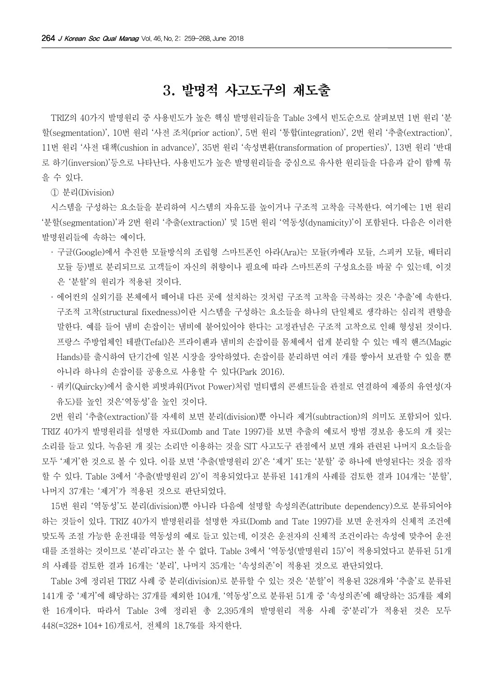### 3. 발명적 사고도구의 재도출

TRIZ의 40가지 발명원리 중 사용빈도가 높은 핵심 발명원리들을 Table 3에서 빈도순으로 살펴보면 1번 원리 '분 할(segmentation)', 10번 원리 '사전 조치(prior action)', 5번 원리 '통합(integration)', 2번 원리 '추출(extraction)', 11번 원리 '사전 대책(cushion in advance)', 35번 원리 '속성변환(transformation of properties)', 13번 원리 '반대 로 하기(inversion)'등으로 나타난다. 사용빈도가 높은 발명원리들을 중심으로 유사한 원리들을 다음과 같이 함께 묶 을 수 있다.

① 분리(Division)

시스템을 구성하는 요소들을 분리하여 시스템의 자유도를 높이거나 구조적 고착을 극복한다. 여기에는 1번 원리 '분할(segmentation)'과 2번 원리 '추출(extraction)' 및 15번 원리 '역동성(dynamicity)'이 포함된다. 다음은 이러한 발명원리들에 속하는 예이다.

- · 구글(Google)에서 추진한 모듈방식의 조립형 스마트폰인 아라(Ara)는 모듈(카메라 모듈, 스피커 모듈, 배터리 모듈 등)별로 분리되므로 고객들이 자신의 취향이나 필요에 따라 스마트폰의 구성요소를 바꿀 수 있는데, 이것 은 '분할'의 원리가 적용된 것이다.
- · 에어컨의 실외기를 본체에서 떼어내 다른 곳에 설치하는 것처럼 구조적 고착을 극복하는 것은 '추출'에 속한다. 구조적 고착(structural fixedness)이란 시스템을 구성하는 요소들을 하나의 단일체로 생각하는 심리적 편향을 말한다. 예를 들어 냄비 손잡이는 냄비에 붙어있어야 한다는 고정관념은 구조적 고착으로 인해 형성된 것이다. 프랑스 주방업체인 테팔(Tefal)은 프라이팬과 냄비의 손잡이를 몸체에서 쉽게 분리할 수 있는 매직 핸즈(Magic Hands)를 출시하여 단기간에 일본 시장을 장악하였다. 손잡이를 분리하면 여러 개를 쌓아서 보관할 수 있을 뿐 아니라 하나의 손잡이를 공용으로 사용할 수 있다(Park 2016).
- · 쿼키(Quircky)에서 출시한 피벗파워(Pivot Power)처럼 멀티탭의 콘센트들을 관절로 연결하여 제품의 유연성(자 유도)를 높인 것은'역동성'을 높인 것이다.

2번 원리 '추출(extraction)'를 자세히 보면 분리(division)뿐 아니라 제거(subtraction)의 의미도 포함되어 있다. TRIZ 40가지 발명원리를 설명한 자료(Domb and Tate 1997)를 보면 추출의 예로서 방범 경보음 용도의 개 짖는 소리를 들고 있다. 녹음된 개 짖는 소리만 이용하는 것을 SIT 사고도구 관점에서 보면 개와 관련된 나머지 요소들을 모두 '제거'한 것으로 볼 수 있다. 이를 보면 '추출(발명원리 2)'은 '제거' 또는 '분할' 중 하나에 반영된다는 것을 짐작 할 수 있다. Table 3에서 '추출(발명원리 2)'이 적용되었다고 분류된 141개의 사례를 검토한 결과 104개는 '분할', 나머지 37개는 '제거'가 적용된 것으로 판단되었다.

15번 원리 '역동성'도 분리(division)뿐 아니라 다음에 설명할 속성의존(attribute dependency)으로 분류되어야 하는 것들이 있다. TRIZ 40가지 발명원리를 설명한 자료(Domb and Tate 1997)를 보면 운전자의 신체적 조건에 맞도록 조절 가능한 운전대를 역동성의 예로 들고 있는데, 이것은 운전자의 신체적 조건이라는 속성에 맞추어 운전 대를 조절하는 것이므로 '분리'라고는 볼 수 없다. Table 3에서 '역동성(발명원리 15)'이 적용되었다고 분류된 51개 의 사례를 검토한 결과 16개는 '분리', 나머지 35개는 '속성의존'이 적용된 것으로 판단되었다.

Table 3에 정리된 TRIZ 사례 중 분리(division)로 분류할 수 있는 것은 '분할'이 적용된 328개와 '추출'로 분류된 141개 중 '제거'에 해당하는 37개를 제외한 104개, '역동성'으로 분류된 51개 중 '속성의존'에 해당하는 35개를 제외 한 16개이다. 따라서 Table 3에 정리된 총 2,395개의 발명원리 적용 사례 중'분리'가 적용된 것은 모두 448(=328+104+16)개로서, 전체의 18.7%를 차지한다.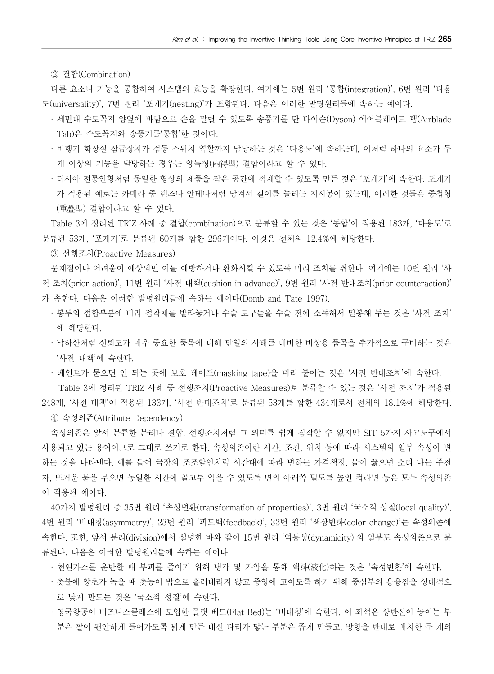② 결합(Combination)

다른 요소나 기능을 통합하여 시스템의 효능을 확장한다. 여기에는 5번 원리 '통합(integration)', 6번 원리 '다용 도(universality)', 7번 원리 '포개기(nesting)'가 포함된다. 다음은 이러한 발명원리들에 속하는 예이다.

- · 세면대 수도꼭지 양옆에 바람으로 손을 말릴 수 있도록 송풍기를 단 다이슨(Dyson) 에어블레이드 탭(Airblade Tab)은 수도꼭지와 송풍기를'통합'한 것이다.
- · 비행기 화장실 잠금장치가 점등 스위치 역할까지 담당하는 것은 '다용도'에 속하는데, 이처럼 하나의 요소가 두 개 이상의 기능을 담당하는 경우는 양득형(兩得型) 결합이라고 할 수 있다.
- · 러시아 전통인형처럼 동일한 형상의 제품을 작은 공간에 적재할 수 있도록 만든 것은 '포개기'에 속한다. 포개기 가 적용된 예로는 카메라 줌 렌즈나 안테나처럼 당겨서 길이를 늘리는 지시봉이 있는데, 이러한 것들은 중첩형 (重疊型) 결합이라고 할 수 있다.

Table 3에 정리된 TRIZ 사례 중 결합(combination)으로 분류할 수 있는 것은 '통합'이 적용된 183개, '다용도'로 분류된 53개, '포개기'로 분류된 60개를 합한 296개이다. 이것은 전체의 12.4%에 해당한다.

③ 선행조치(Proactive Measures)

문제점이나 어려움이 예상되면 이를 예방하거나 완화시킬 수 있도록 미리 조치를 취한다. 여기에는 10번 원리 '사 전 조치(prior action)', 11번 원리 '사전 대책(cushion in advance)', 9번 원리 '사전 반대조치(prior counteraction)' 가 속한다. 다음은 이러한 발명원리들에 속하는 예이다(Domb and Tate 1997).

- · 봉투의 접합부분에 미리 접착제를 발라놓거나 수술 도구들을 수술 전에 소독해서 밀봉해 두는 것은 '사전 조치' 에 해당한다.
- · 낙하산처럼 신뢰도가 매우 중요한 품목에 대해 만일의 사태를 대비한 비상용 품목을 추가적으로 구비하는 것은 '사전 대책'에 속한다.

· 페인트가 묻으면 안 되는 곳에 보호 테이프(masking tape)을 미리 붙이는 것은 '사전 반대조치'에 속한다.

 Table 3에 정리된 TRIZ 사례 중 선행조치(Proactive Measures)로 분류할 수 있는 것은 '사전 조치'가 적용된 248개, '사전 대책'이 적용된 133개, '사전 반대조치'로 분류된 53개를 합한 434개로서 전체의 18.1%에 해당한다.

④ 속성의존(Attribute Dependency)

속성의존은 앞서 분류한 분리나 결합, 선행조치처럼 그 의미를 쉽게 짐작할 수 없지만 SIT 5가지 사고도구에서 사용되고 있는 용어이므로 그대로 쓰기로 한다. 속성의존이란 시간, 조건, 위치 등에 따라 시스템의 일부 속성이 변 하는 것을 나타낸다. 예를 들어 극장의 조조할인처럼 시간대에 따라 변하는 가격책정, 물이 끓으면 소리 나는 주전 자, 뜨거운 물을 부으면 동일한 시간에 골고루 익을 수 있도록 면의 아래쪽 밀도를 높인 컵라면 등은 모두 속성의존 이 적용된 예이다.

40가지 발명원리 중 35번 원리 '속성변환(transformation of properties)', 3번 원리 '국소적 성질(local quality)', 4번 원리 '비대칭(asymmetry)', 23번 원리 '피드백(feedback)', 32번 원리 '색상변화(color change)'는 속성의존에 속한다. 또한, 앞서 분리(division)에서 설명한 바와 같이 15번 원리 '역동성(dynamicity)'의 일부도 속성의존으로 분 류된다. 다음은 이러한 발명원리들에 속하는 예이다.

· 천연가스를 운반할 때 부피를 줄이기 위해 냉각 및 가압을 통해 액화(液化)하는 것은 '속성변환'에 속한다.

- · 촛불에 양초가 녹을 때 촛농이 밖으로 흘러내리지 않고 중앙에 고이도록 하기 위해 중심부의 용융점을 상대적으 로 낮게 만드는 것은 '국소적 성질'에 속한다.
- · 영국항공이 비즈니스클래스에 도입한 플랫 베드(Flat Bed)는 '비대칭'에 속한다. 이 좌석은 상반신이 놓이는 부 분은 팔이 편안하게 들어가도록 넓게 만든 대신 다리가 닿는 부분은 좁게 만들고, 방향을 반대로 배치한 두 개의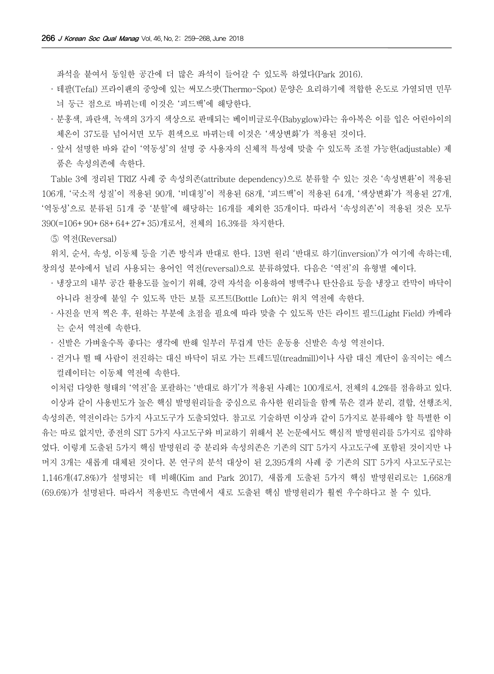좌석을 붙여서 동일한 공간에 더 많은 좌석이 들어갈 수 있도록 하였다(Park 2016).

- · 테팔(Tefal) 프라이팬의 중앙에 있는 써모스팟(Thermo-Spot) 문양은 요리하기에 적합한 온도로 가열되면 민무 늬 둥근 점으로 바뀌는데 이것은 '피드백'에 해당한다.
- · 분홍색, 파란색, 녹색의 3가지 색상으로 판매되는 베이비글로우(Babyglow)라는 유아복은 이를 입은 어린아이의 체온이 37도를 넘어서면 모두 흰색으로 바뀌는데 이것은 '색상변화'가 적용된 것이다.
- · 앞서 설명한 바와 같이 '역동성'의 설명 중 사용자의 신체적 특성에 맞출 수 있도록 조절 가능한(adjustable) 제 품은 속성의존에 속한다.

Table 3에 정리된 TRIZ 사례 중 속성의존(attribute dependency)으로 분류할 수 있는 것은 '속성변환'이 적용된 106개, '국소적 성질'이 적용된 90개, '비대칭'이 적용된 68개, '피드백'이 적용된 64개, '색상변화'가 적용된 27개, '역동성'으로 분류된 51개 중 '분할'에 해당하는 16개를 제외한 35개이다. 따라서 '속성의존'이 적용된 것은 모두 390(=106+90+68+64+27+35)개로서, 전체의 16.3%를 차지한다.

⑤ 역전(Reversal)

위치, 순서, 속성, 이동체 등을 기존 방식과 반대로 한다. 13번 원리 '반대로 하기(inversion)'가 여기에 속하는데, 창의성 분야에서 널리 사용되는 용어인 역전(reversal)으로 분류하였다. 다음은 '역전'의 유형별 예이다.

- · 냉장고의 내부 공간 활용도를 높이기 위해, 강력 자석을 이용하여 병맥주나 탄산음료 등을 냉장고 칸막이 바닥이 아니라 천장에 붙일 수 있도록 만든 보틀 로프트(Bottle Loft)는 위치 역전에 속한다.
- · 사진을 먼저 찍은 후, 원하는 부분에 초점을 필요에 따라 맞출 수 있도록 만든 라이트 필드(Light Field) 카메라 는 순서 역전에 속한다.
- · 신발은 가벼울수록 좋다는 생각에 반해 일부러 무겁게 만든 운동용 신발은 속성 역전이다.
- · 걷거나 뛸 때 사람이 전진하는 대신 바닥이 뒤로 가는 트레드밀(treadmill)이나 사람 대신 계단이 움직이는 에스 컬레이터는 이동체 역전에 속한다.

이처럼 다양한 형태의 '역전'을 포괄하는 '반대로 하기'가 적용된 사례는 100개로서, 전체의 4.2%를 점유하고 있다. 이상과 같이 사용빈도가 높은 핵심 발명원리들을 중심으로 유사한 원리들을 함께 묶은 결과 분리, 결합, 선행조치, 속성의존, 역전이라는 5가지 사고도구가 도출되었다. 참고로 기술하면 이상과 같이 5가지로 분류해야 할 특별한 이 유는 따로 없지만, 종전의 SIT 5가지 사고도구와 비교하기 위해서 본 논문에서도 핵심적 발명원리를 5가지로 집약하 였다. 이렇게 도출된 5가지 핵심 발명원리 중 분리와 속성의존은 기존의 SIT 5가지 사고도구에 포함된 것이지만 나 머지 3개는 새롭게 대체된 것이다. 본 연구의 분석 대상이 된 2,395개의 사례 중 기존의 SIT 5가지 사고도구로는 1,146개(47.8%)가 설명되는 데 비해(Kim and Park 2017), 새롭게 도출된 5가지 핵심 발명원리로는 1,668개 (69.6%)가 설명된다. 따라서 적용빈도 측면에서 새로 도출된 핵심 발명원리가 훨씬 우수하다고 볼 수 있다.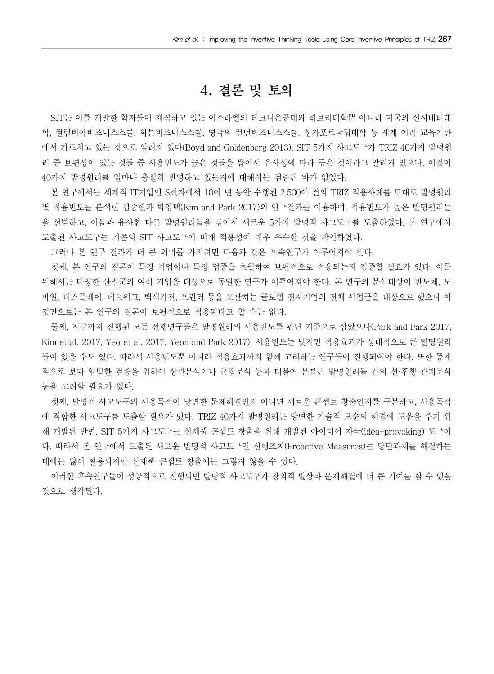#### 4. 결론 및 토의

SIT는 이를 개발한 학자들이 재직하고 있는 이스라엘의 테크니온공대와 히브리대학뿐 아니라 미국의 신시내티대 학, 컬럼비아비즈니스스쿨, 와튼비즈니스스쿨, 영국의 런던비즈니스스쿨, 싱가포르국립대학 등 세계 여러 교육기관 에서 가르치고 있는 것으로 알려져 있다(Boyd and Goldenberg 2013). SIT 5가지 사고도구가 TRIZ 40가지 발명원 리 중 보편성이 있는 것들 중 사용빈도가 높은 것들을 뽑아서 유사성에 따라 묶은 것이라고 알려져 있으나, 이것이 40가지 발명원리를 얼마나 충실히 반영하고 있는지에 대해서는 검증된 바가 없었다.

본 연구에서는 세계적 IT기업인 S전자에서 10여 년 동안 수행된 2,500여 건의 TRIZ 적용사례를 토대로 발명원리 별 적용빈도를 분석한 김중현과 박영택(Kim and Park 2017)의 연구결과를 이용하여, 적용빈도가 높은 발명원리들 을 선별하고, 이들과 유사한 다른 발명원리들을 묶어서 새로운 5가지 발명적 사고도구를 도출하였다. 본 연구에서 도출된 사고도구는 기존의 SIT 사고도구에 비해 적용성이 매우 우수한 것을 확인하였다.

그러나 본 연구 결과가 더 큰 의미를 가지려면 다음과 같은 후속연구가 이루어져야 한다.

첫째, 본 연구의 결론이 특정 기업이나 특정 업종을 초월하여 보편적으로 적용되는지 검증할 필요가 있다. 이를 위해서는 다양한 산업군의 여러 기업을 대상으로 동일한 연구가 이루어져야 한다. 본 연구의 분석대상이 반도체, 모 바일, 디스플레이, 네트워크, 백색가전, 프린터 등을 포괄하는 글로벌 전자기업의 전체 사업군을 대상으로 했으나 이 것만으로는 본 연구의 결론이 보편적으로 적용된다고 할 수는 없다.

둘째, 지금까지 진행된 모든 선행연구들은 발명원리의 사용빈도를 판단 기준으로 삼았으나(Park and Park 2017, Kim et al. 2017, Yeo et al. 2017, Yeon and Park 2017), 사용빈도는 낮지만 적용효과가 상대적으로 큰 발명원리 들이 있을 수도 있다. 따라서 사용빈도뿐 아니라 적용효과까지 함께 고려하는 연구들이 진행되어야 한다. 또한 통계 적으로 보다 엄밀한 검증을 위하여 상관분석이나 군집분석 등과 더불어 분류된 발명원리들 간의 선·후행 관계분석 등을 고려할 필요가 있다.

셋째, 발명적 사고도구의 사용목적이 당면한 문제해결인지 아니면 새로운 콘셉트 창출인지를 구분하고, 사용목적 에 적합한 사고도구를 도출할 필요가 있다. TRIZ 40가지 발명원리는 당면한 기술적 모순의 해결에 도움을 주기 위 해 개발된 반면, SIT 5가지 사고도구는 신제품 콘셉트 창출을 위해 개발된 아이디어 자극(idea-provoking) 도구이 다. 따라서 본 연구에서 도출된 새로운 발명적 사고도구인 선행조치(Proactive Measures)는 당면과제를 해결하는 데에는 많이 활용되지만 신제품 콘셉트 창출에는 그렇지 않을 수 있다.

이러한 후속연구들이 성공적으로 진행되면 발명적 사고도구가 창의적 발상과 문제해결에 더 큰 기여를 할 수 있을 것으로 생각된다.